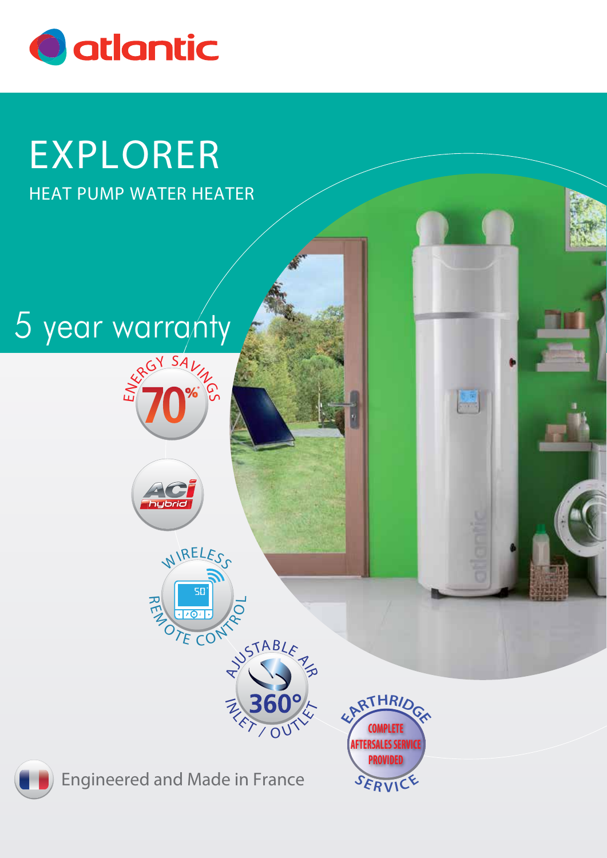

# EXPLORER

HEAT PUMP WATER HEATER

## 5 year warranty

**E**



 $\triangle$ 

**<sup>N</sup>ERG<sup>Y</sup> <sup>S</sup>AV<sup>I</sup>N<sup>G</sup>**

**\*** <u>က</u>







團